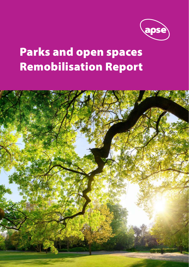

# Parks and open spaces Remobilisation Report

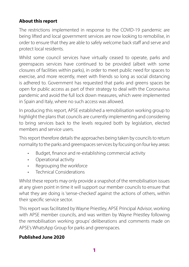#### **About this report**

The restrictions implemented in response to the COVID-19 pandemic are being lifted and local government services are now looking to remobilise, in order to ensure that they are able to safely welcome back staff and serve and protect local residents.

Whilst some council services have virtually ceased to operate, parks and greenspaces services have continued to be provided (albeit with some closures of facilities within parks), in order to meet public need for spaces to exercise, and more recently, meet with friends so long as social distancing is adhered to. Government has requested that parks and greens spaces be open for public access as part of their strategy to deal with the Coronavirus pandemic and avoid the full lock down measures, which were implemented in Spain and Italy, where no such access was allowed.

In producing this report, APSE established a remobilisation working group to highlight the plans that councils are currently implementing and considering to bring services back to the levels required both by legislation, elected members and service users.

This report therefore details the approaches being taken by councils to return normality to the parks and greenspaces services by focusing on four key areas:

- Budget, finance and re-establishing commercial activity
- Operational activity
- Regrouping the workforce
- Technical Considerations

Whilst these reports may only provide a snapshot of the remobilisation issues at any given point in time it will support our member councils to ensure that what they are doing is 'sense-checked' against the actions of others, within their specific service sector.

This report was facilitated by Wayne Priestley, APSE Principal Advisor, working with APSE member councils, and was written by Wayne Priestley following the remobilisation working groups' deliberations and comments made on APSE's WhatsApp Group for parks and greenspaces.

#### **Published June 2020**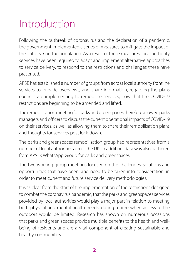### Introduction

Following the outbreak of coronavirus and the declaration of a pandemic, the government implemented a series of measures to mitigate the impact of the outbreak on the population. As a result of these measures, local authority services have been required to adapt and implement alternative approaches to service delivery, to respond to the restrictions and challenges these have presented.

APSE has established a number of groups from across local authority frontline services to provide overviews, and share information, regarding the plans councils are implementing to remobilise services, now that the COVID-19 restrictions are beginning to be amended and lifted.

The remobilisation meeting for parks and greenspaces therefore allowed parks managers and officers to discuss the current operational impacts of COVID-19 on their services, as well as allowing them to share their remobilisation plans and thoughts for services post lock-down.

The parks and greenspaces remobilisation group had representatives from a number of local authorities across the UK. In addition, data was also gathered from APSE's WhatsApp Group for parks and greenspaces.

The two working group meetings focused on the challenges, solutions and opportunities that have been, and need to be taken into consideration, in order to meet current and future service delivery methodologies.

It was clear from the start of the implementation of the restrictions designed to combat the coronavirus pandemic, that the parks and greenspaces services provided by local authorities would play a major part in relation to meeting both physical and mental health needs, during a time when access to the outdoors would be limited. Research has shown on numerous occasions that parks and green spaces provide multiple benefits to the health and wellbeing of residents and are a vital component of creating sustainable and healthy communities.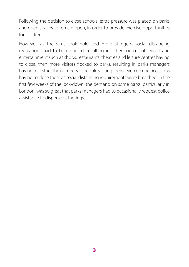Following the decision to close schools, extra pressure was placed on parks and open spaces to remain open, in order to provide exercise opportunities for children.

However, as the virus took hold and more stringent social distancing regulations had to be enforced, resulting in other sources of leisure and entertainment such as shops, restaurants, theatres and leisure centres having to close, then more visitors flocked to parks, resulting in parks managers having to restrict the numbers of people visiting them, even on rare occasions having to close them as social distancing requirements were breached. In the first few weeks of the lock-down, the demand on some parks, particularly in London, was so great that parks managers had to occasionally request police assistance to disperse gatherings.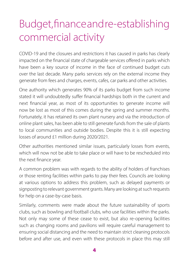### Budget, finance and re-establishing commercial activity

COVID-19 and the closures and restrictions it has caused in parks has clearly impacted on the financial state of chargeable services offered in parks which have been a key source of income in the face of continued budget cuts over the last decade. Many parks services rely on the external income they generate from fees and charges, events, cafes, car parks and other activities.

One authority which generates 90% of its parks budget from such income stated it will undoubtedly suffer financial hardships both in the current and next financial year, as most of its opportunities to generate income will now be lost as most of this comes during the spring and summer months. Fortunately, it has retained its own plant nursery and via the introduction of online plant sales, has been able to still generate funds from the sale of plants to local communities and outside bodies. Despite this it is still expecting losses of around £1 million during 2020/2021.

Other authorities mentioned similar issues, particularly losses from events, which will now not be able to take place or will have to be rescheduled into the next finance year.

A common problem was with regards to the ability of holders of franchises or those renting facilities within parks to pay their fees. Councils are looking at various options to address this problem, such as delayed payments or signposting to relevant government grants. Many are looking at such requests for help on a case-by-case basis.

Similarly, comments were made about the future sustainability of sports clubs, such as bowling and football clubs, who use facilities within the parks. Not only may some of these cease to exist, but also re-opening facilities such as changing rooms and pavilions will require careful management to ensuring social distancing and the need to maintain strict cleaning protocols before and after use, and even with these protocols in place this may still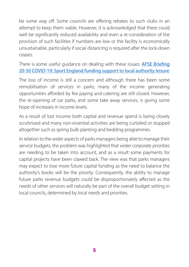be some way off. Some councils are offering rebates to such clubs in an attempt to keep them viable. However, it is acknowledged that there could well be significantly reduced availability and even a re-consideration of the provision of such facilities if numbers are low or the facility is economically unsustainable, particularly if social distancing is required after the lock-down ceases.

There is some useful quidance on dealing with these issues: APSE Briefing [20-50 COVID-19: Sport England funding support to local authority leisure](https://www.apse.org.uk/apse/index.cfm/members-area/briefings/2020/20-50-sport-england-covid-19-funding-support-for-local-authority-leisure/)

The loss of income is still a concern and although there has been some remobilisation of services in parks, many of the income generating opportunities afforded by fee paying and catering are still closed. However, the re-opening of car parks, and some take away services, is giving some hope of increases in income levels.

As a result of lost income both capital and revenue spend is being closely scrutinised and many non-essential activities are being curtailed or stopped altogether such as spring bulb planting and bedding programmes

In relation to the wider aspects of parks managers being able to manage their service budgets, the problem was highlighted that wider corporate priorities are needing to be taken into account, and as a result some payments for capital projects have been clawed back. The view was that parks managers may expect to lose more future capital funding as the need to balance the authority's books will be the priority. Consequently, the ability to manage future parks revenue budgets could be disproportionately affected as the needs of other services will naturally be part of the overall budget setting in local councils, determined by local needs and priorities.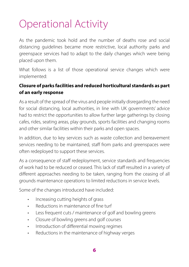### Operational Activity

As the pandemic took hold and the number of deaths rose and social distancing guidelines became more restrictive, local authority parks and greenspace services had to adapt to the daily changes which were being placed upon them.

What follows is a list of those operational service changes which were implemented:

#### **Closure of parks facilities and reduced horticultural standards as part of an early response**

As a result of the spread of the virus and people initially disregarding the need for social distancing, local authorities, in line with UK governments' advice had to restrict the opportunities to allow further large gatherings by closing cafes, rides, seating areas, play grounds, sports facilities and changing rooms and other similar facilities within their parks and open spaces.

In addition, due to key services such as waste collection and bereavement services needing to be maintained, staff from parks and greenspaces were often redeployed to support these services.

As a consequence of staff redeployment, service standards and frequencies of work had to be reduced or ceased. This lack of staff resulted in a variety of different approaches needing to be taken, ranging from the ceasing of all grounds maintenance operations to limited reductions in service levels.

Some of the changes introduced have included:

- Increasing cutting heights of grass
- Reductions in maintenance of fine turf
- Less frequent cuts / maintenance of golf and bowling greens
- Closure of bowling greens and golf courses
- Introduction of differential mowing regimes
- Reductions in the maintenance of highway verges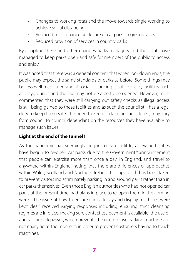- Changes to working rotas and the move towards single working to achieve social distancing
- Reduced maintenance or closure of car parks in greenspaces
- Reduced provision of services in country parks

By adopting these and other changes parks managers and their staff have managed to keep parks open and safe for members of the public to access and enjoy.

It was noted that there was a general concern that when lock down ends, the public may expect the same standards of parks as before. Some things may be less well manicured and, if social distancing is still in place, facilities such as playgrounds and the like may not be able to be opened. However, most commented that they were still carrying out safety checks as illegal access is still being gained to these facilities and as such the council still has a legal duty to keep them safe. The need to keep certain facilities closed, may vary from council to council dependant on the resources they have available to manage such issues.

#### **Light at the end of the tunnel?**

As the pandemic has seemingly begun to ease a little, a few authorities have begun to re-open car parks due to the Governments' announcement that people can exercise more than once a day, in England, and travel to anywhere within England, noting that there are differences of approaches within Wales, Scotland and Northern Ireland. This approach has been taken to prevent visitors indiscriminately parking in and around parks rather than in car parks themselves. Even those English authorities who had not opened car parks at the present time, had plans in place to re-open them in the coming weeks. The issue of how to ensure car park pay and display machines were kept clean received varying responses including; ensuring strict cleansing regimes are in place; making sure contactless payment is available; the use of annual car park passes, which prevents the need to use parking machines; or not charging at the moment, in order to prevent customers having to touch machines.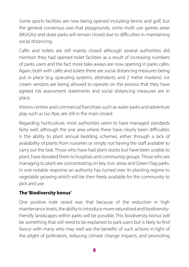Some sports facilities are now being opened including tennis and golf, but the general consensus was that playgrounds, some multi use games areas (MUGAs) and skate parks will remain closed due to difficulties in maintaining social distancing.

Cafés and toilets are still mainly closed although several authorities did mention they had opened toilet facilities as a result of increasing numbers of parks users and the fact more take-aways are now opening in parks cafes. Again, both with cafés and toilets there are social distancing measures being put in place (e.g. queueing systems, attendants and 2 metre markers). Ice cream vendors are being allowed to operate on the proviso that they have agreed risk assessment statements and social distancing measures are in place.

Visitors centres and commercial franchises such as water parks and adventure play such as Go-Ape, are still in the main closed.

Regarding horticulture, most authorities seem to have managed standards fairly well, although the one area where there have clearly been difficulties is the ability to plant annual bedding schemes, either through a lack of availability of plants from nurseries or simply not having the staff available to carry out the task. Those who have had plant stocks but have been unable to plant, have donated them to hospitals and community groups. Those who are managing to plant are concentrating on key civic areas and Green Flag parks. In one notable response an authority has turned over its planting regime to vegetable growing which will be then freely available for the community to pick and use.

#### **The 'Biodiversity bonus'**

One positive note raised was that because of the reduction in high maintenance levels, the ability to introduce more naturalised and biodiversityfriendly landscapes within parks will be possible. This 'biodiversity bonus' will be something that will need to be explained to park users but is likely to find favour with many who may well see the benefits of such actions in light of the plight of pollinators, reducing climate change impacts, and promoting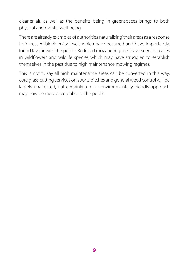cleaner air, as well as the benefits being in greenspaces brings to both physical and mental well-being.

There are already examples of authorities 'naturalising' their areas as a response to increased biodiversity levels which have occurred and have importantly, found favour with the public. Reduced mowing regimes have seen increases in wildflowers and wildlife species which may have struggled to establish themselves in the past due to high maintenance mowing regimes.

This is not to say all high maintenance areas can be converted in this way, core grass cutting services on sports pitches and general weed control will be largely unaffected, but certainly a more environmentally-friendly approach may now be more acceptable to the public.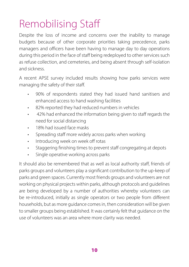### Remobilising Sta

Despite the loss of income and concerns over the inability to manage budgets because of other corporate priorities taking precedence, parks managers and officers have been having to manage day to day operations during this period in the face of staff being redeployed to other services such as refuse collection, and cemeteries, and being absent through self-isolation and sickness.

A recent APSE survey included results showing how parks services were managing the safety of their staff.

- 90% of respondents stated they had issued hand sanitisers and enhanced access to hand washing facilities
- 82% reported they had reduced numbers in vehicles
- 42% had enhanced the information being given to staff regards the need for social distancing
- 18% had issued face masks
- Spreading staff more widely across parks when working
- Introducing week on week off rotas
- Staggering finishing times to prevent staff congregating at depots
- Single operative working across parks

It should also be remembered that as well as local authority staff, friends of parks groups and volunteers play a significant contribution to the up-keep of parks and green spaces. Currently most friends groups and volunteers are not working on physical projects within parks, although protocols and guidelines are being developed by a number of authorities whereby volunteers can be re-introduced, initially as single operators or two people from different households, but as more guidance comes in, then consideration will be given to smaller groups being established. It was certainly felt that guidance on the use of volunteers was an area where more clarity was needed.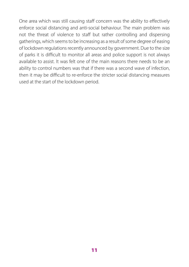One area which was still causing staff concern was the ability to effectively enforce social distancing and anti-social behaviour. The main problem was not the threat of violence to staff but rather controlling and dispersing gatherings, which seems to be increasing as a result of some degree of easing of lockdown regulations recently announced by government. Due to the size of parks it is difficult to monitor all areas and police support is not always available to assist. It was felt one of the main reasons there needs to be an ability to control numbers was that if there was a second wave of infection, then it may be difficult to re-enforce the stricter social distancing measures used at the start of the lockdown period.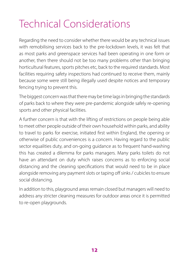## Technical Considerations

Regarding the need to consider whether there would be any technical issues with remobilising services back to the pre-lockdown levels, it was felt that as most parks and greenspace services had been operating in one form or another, then there should not be too many problems other than bringing horticultural features, sports pitches etc, back to the required standards. Most facilities requiring safety inspections had continued to receive them, mainly because some were still being illegally used despite notices and temporary fencing trying to prevent this.

The biggest concern was that there may be time lags in bringing the standards of parks back to where they were pre-pandemic alongside safely re-opening sports and other physical facilities.

A further concern is that with the lifting of restrictions on people being able to meet other people outside of their own household within parks, and ability to travel to parks for exercise, initiated first within England, the opening or otherwise of public conveniences is a concern. Having regard to the public sector equalities duty, and on-going guidance as to frequent hand-washing this has created a dilemma for parks managers. Many parks toilets do not have an attendant on duty which raises concerns as to enforcing social distancing and the cleaning specifications that would need to be in place alongside removing any payment slots or taping off sinks / cubicles to ensure social distancing.

In addition to this, playground areas remain closed but managers will need to address any stricter cleaning measures for outdoor areas once it is permitted to re-open playgrounds.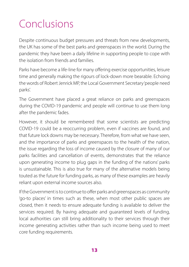### Conclusions

Despite continuous budget pressures and threats from new developments, the UK has some of the best parks and greenspaces in the world. During the pandemic they have been a daily lifeline in supporting people to cope with the isolation from friends and families.

Parks have become a life-line for many offering exercise opportunities, leisure time and generally making the rigours of lock-down more bearable. Echoing the words of Robert Jenrick MP, the Local Government Secretary 'people need parks'.

The Government have placed a great reliance on parks and greenspaces during the COVID-19 pandemic and people will continue to use them long after the pandemic fades.

However, it should be remembered that some scientists are predicting COVID-19 could be a reoccurring problem, even if vaccines are found, and that future lock downs may be necessary. Therefore, from what we have seen, and the importance of parks and greenspaces to the health of the nation, the issue regarding the loss of income caused by the closure of many of our parks facilities and cancellation of events, demonstrates that the reliance upon generating income to plug gaps in the funding of the nations' parks is unsustainable. This is also true for many of the alternative models being touted as the future for funding parks, as many of these examples are heavily reliant upon external income sources also.

If the Government is to continue to offer parks and greenspaces as community 'go-to places' in times such as these, when most other public spaces are closed, then it needs to ensure adequate funding is available to deliver the services required. By having adequate and guaranteed levels of funding, local authorities can still bring additionality to their services through their income generating activities rather than such income being used to meet core funding requirements.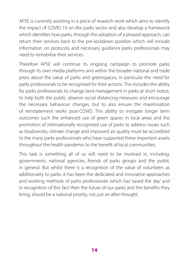APSE is currently assisting in a piece of research work which aims to identify the impact of COVID-19 on the parks sector and also develop a framework which identifies how parks, through the adoption of a phased approach, can return their services back to the pre-lockdown position which will include information on protocols and necessary guidance parks professionals may need to remobilise their services.

Therefore APSE will continue its ongoing campaign to promote parks through its own media platforms and within the broader national and trade press about the value of parks and greenspaces; in particular the need for parks professionals to be recognised for their actions. This includes the ability for parks professionals to change land management in parks at short notice, to help both the public observe social distancing measures and encourage the necessary behaviour changes, but to also ensure the maximisation of reinstatement works post-COVID. This ability to instigate longer term outcomes such the enhanced use of green spaces in local areas and the promotion of internationally recognised use of parks to address issues such as biodiversity, climate change and improved air quality must be accredited to the many parks professionals who have supported these important assets throughout the health pandemic to the benefit of local communities.

This task is something all of us will need to be involved in, including: governments, national agencies, friends of parks groups and the public in general. But whilst there is a recognition of the value of volunteers as additionality to parks, it has been the dedicated and innovative approaches and working methods of parks professionals which has 'saved the day' and in recognition of this fact then the future of our parks and the benefits they bring, should be a national priority, not just an after-thought.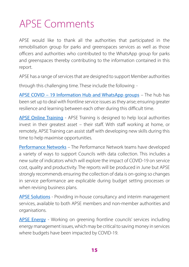### APSE Comments

APSE would like to thank all the authorities that participated in the remobilisation group for parks and greenspaces services as well as those officers and authorities who contributed to the WhatsApp group for parks and greenspaces thereby contributing to the information contained in this report.

APSE has a range of services that are designed to support Member authorities

through this challenging time. These include the following: -

[APSE COVID – 19 Information Hub and WhatsApp groups](https://www.apse.org.uk/apse/index.cfm/news/articles/2020/covid-19-apse-information-hub/) – The hub has been set up to deal with frontline service issues as they arise; ensuring greater resilience and learning between each other during this difficult time.

[APSE Online Training](https://www.apse.org.uk/apse/index.cfm/training/online-courses/) - APSE Training is designed to help local authorities invest in their greatest asset – their staff. With staff working at home, or remotely, APSE Training can assist staff with developing new skills during this time to help maximise opportunities.

[Performance Networks](https://www.apse.org.uk/apse/index.cfm/performance-networks/network-news/) – The Performance Network teams have developed a variety of ways to support Councils with data collection. This includes a new suite of indicators which will explore the impact of COVID-19 on service cost, quality and productivity. The reports will be produced in June but APSE strongly recommends ensuring the collection of data is on-going so changes in service performance are explicable during budget setting processes or when revising business plans.

[APSE Solutions](https://www.apse.org.uk/apse/index.cfm/solutions/) - Providing in-house consultancy and interim management services, available to both APSE members and non-member authorities and organisations.

[APSE Energy](https://www.apse.org.uk/apse/index.cfm/local-authority-energy-collaboration/) - Working on greening frontline councils' services including energy management issues, which may be critical to saving money in services where budgets have been impacted by COVID-19.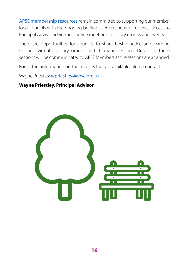[APSE membership resources](https://www.apse.org.uk/apse/index.cfm/members-area/) remain committed to supporting our member local councils with the ongoing briefings service, network queries, access to Principal Advisor advice and online meetings, advisory groups and events.

There are opportunities for councils to share best practice and learning through virtual advisory groups and thematic sessions. Details of these sessions will be communicated to APSE Members as the sessions are arranged.

For further information on the services that are available, please contact

Wayne Priestley [wpriestley@apse.org.uk](mailto:wpriestley@apse.org.uk)

#### **Wayne Priestley, Principal Advisor**